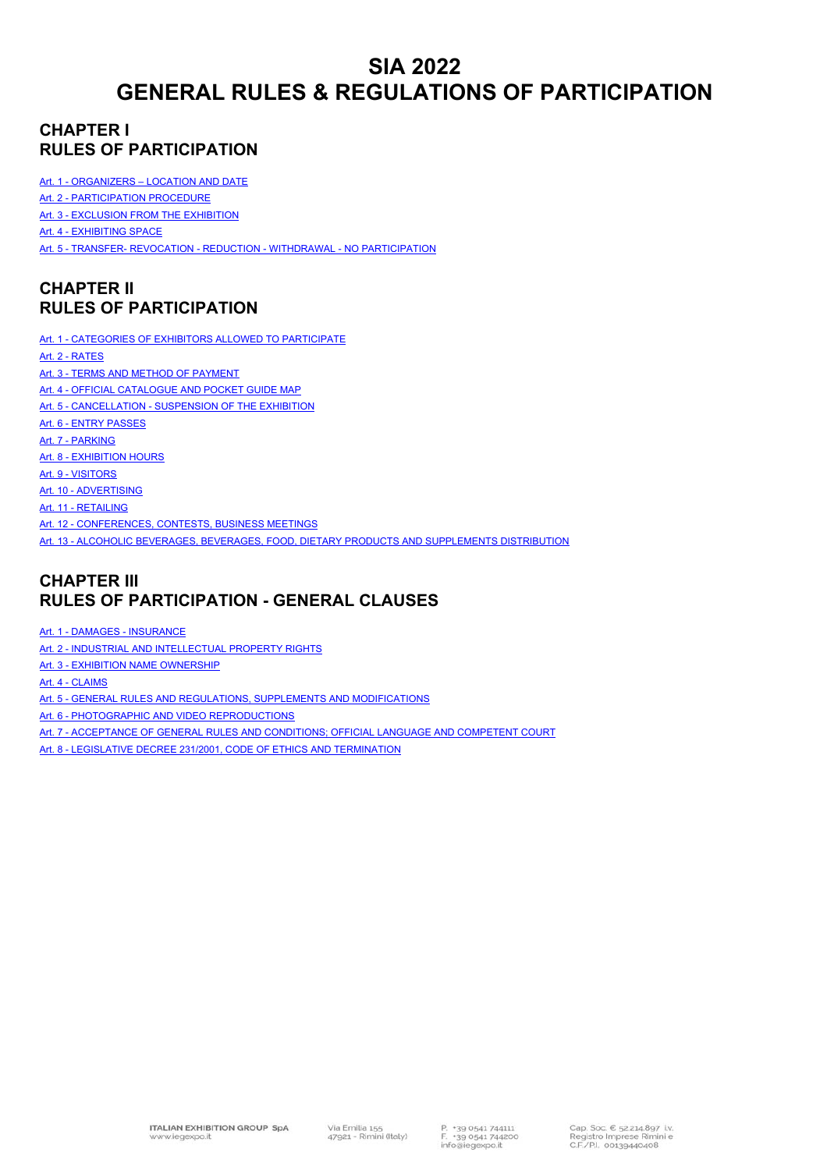## **SIA 2022 GENERAL RULES & REGULATIONS OF PARTICIPATION**

## **CHAPTER I RULES OF PARTICIPATION**

Art. 1 - ORGANIZERS – LOCATION AND DATE

Art. 2 - PARTICIPATION PROCEDURE

Art. 3 - EXCLUSION FROM THE EXHIBITION

Art. 4 - EXHIBITING SPACE

Art. 5 - TRANSFER- REVOCATION - REDUCTION - WITHDRAWAL - NO PARTICIPATION

## **CHAPTER II RULES OF PARTICIPATION**

Art. 1 - CATEGORIES OF EXHIBITORS ALLOWED TO PARTICIPATE Art. 2 - RATES Art. 3 - TERMS AND METHOD OF PAYMENT Art. 4 - OFFICIAL CATALOGUE AND POCKET GUIDE MAP Art. 5 - CANCELLATION - SUSPENSION OF THE EXHIBITION Art. 6 - ENTRY PASSES Art. 7 - PARKING Art. 8 - EXHIBITION HOURS Art. 9 - VISITORS Art. 10 - ADVERTISING Art. 11 - RETAILING Art. 12 - CONFERENCES, CONTESTS, BUSINESS MEETINGS Art. 13 - ALCOHOLIC BEVERAGES, BEVERAGES, FOOD, DIETARY PRODUCTS AND SUPPLEMENTS DISTRIBUTION

## **CHAPTER III RULES OF PARTICIPATION - GENERAL CLAUSES**

Art. 1 - DAMAGES - INSURANCE

Art. 2 - INDUSTRIAL AND INTELLECTUAL PROPERTY RIGHTS

Art. 3 - EXHIBITION NAME OWNERSHIP

Art. 4 - CLAIMS

Art. 5 - GENERAL RULES AND REGULATIONS, SUPPLEMENTS AND MODIFICATIONS

- Art. 6 PHOTOGRAPHIC AND VIDEO REPRODUCTIONS
- Art. 7 ACCEPTANCE OF GENERAL RULES AND CONDITIONS; OFFICIAL LANGUAGE AND COMPETENT COURT
- Art. 8 LEGISLATIVE DECREE 231/2001, CODE OF ETHICS AND TERMINATION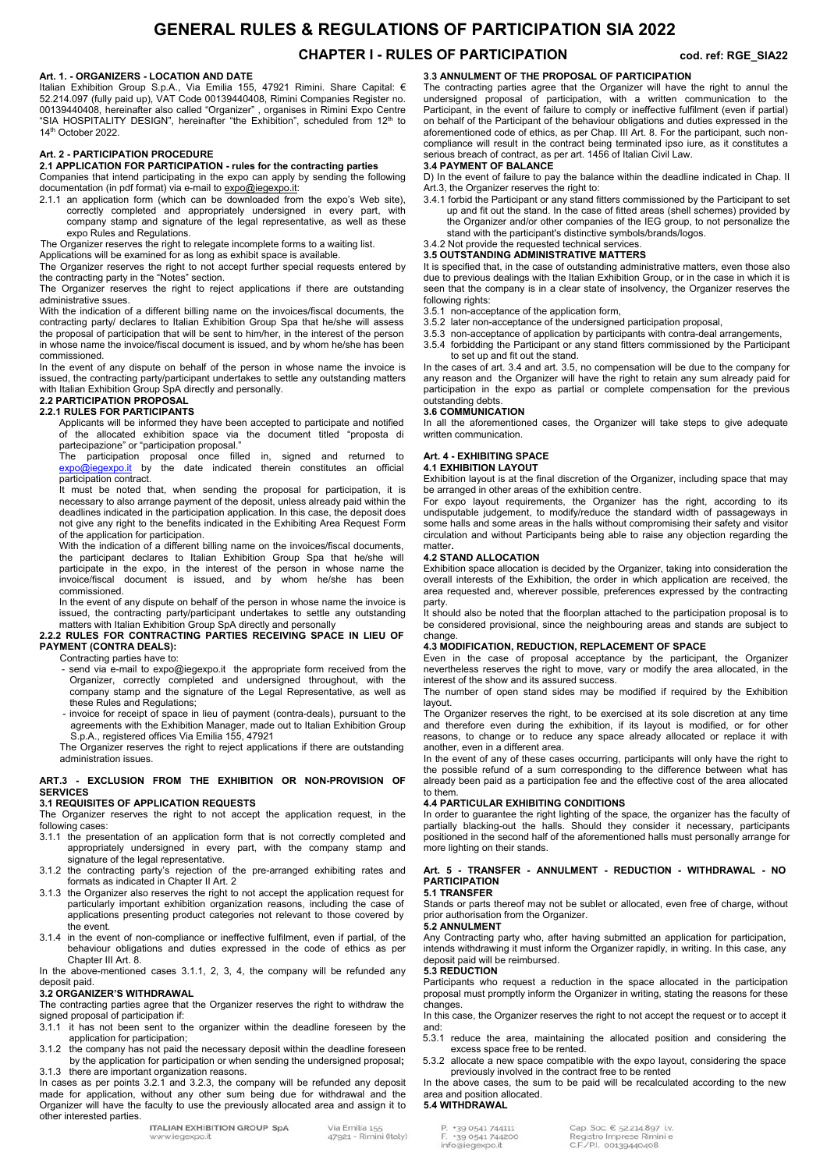## **GENERAL RULES & REGULATIONS OF PARTICIPATION SIA 2022**

## **CHAPTER I - RULES OF PARTICIPATION** cod. ref: RGE\_SIA22

#### **Art. 1. - ORGANIZERS - LOCATION AND DATE**

Italian Exhibition Group S.p.A., Via Emilia 155, 47921 Rimini. Share Capital: € 52.214.097 (fully paid up), VAT Code 00139440408, Rimini Companies Register no. 00139440408, hereinafter also called "Organizer" , organises in Rimini Expo Centre "SIA HOSPITALITY DESIGN", hereinafter "the Exhibition", scheduled from 12th to 14<sup>th</sup> October 2022.

#### **Art. 2 - PARTICIPATION PROCEDURE**

#### **2.1 APPLICATION FOR PARTICIPATION - rules for the contracting parties**  Companies that intend participating in the expo can apply by sending the following

documentation (in pdf format) via e-mail to expo@iegexpo.it:

2.1.1 an application form (which can be downloaded from the expo's Web site), correctly completed and appropriately undersigned in every part, with company stamp and signature of the legal representative, as well as these expo Rules and Regulations.

The Organizer reserves the right to relegate incomplete forms to a waiting list.

Applications will be examined for as long as exhibit space is available.

The Organizer reserves the right to not accept further special requests entered by the contracting party in the "Notes" section.

The Organizer reserves the right to reject applications if there are outstanding administrative ssues.

With the indication of a different billing name on the invoices/fiscal documents, the contracting party/ declares to Italian Exhibition Group Spa that he/she will assess the proposal of participation that will be sent to him/her, in the interest of the person in whose name the invoice/fiscal document is issued, and by whom he/she has been commissioned.

In the event of any dispute on behalf of the person in whose name the invoice is issued, the contracting party/participant undertakes to settle any outstanding matters with Italian Exhibition Group SpA directly and personally.

## **2.2 PARTICIPATION PROPOSAL**

**2.2.1 RULES FOR PARTICIPANTS**  Applicants will be informed they have been accepted to participate and notified

of the allocated exhibition space via the document titled "proposta di partecipazione" or "participation proposal."

The participation proposal once filled in, signed and returned to expo@iegexpo.it by the date indicated therein constitutes an official participation contract.

It must be noted that, when sending the proposal for participation, it is necessary to also arrange payment of the deposit, unless already paid within the deadlines indicated in the participation application. In this case, the deposit does not give any right to the benefits indicated in the Exhibiting Area Request Form of the application for participation.

With the indication of a different billing name on the invoices/fiscal documents, the participant declares to Italian Exhibition Group Spa that he/she will participate in the expo, in the interest of the person in whose name the invoice/fiscal document is issued, and by whom he/she has been commissioned.

In the event of any dispute on behalf of the person in whose name the invoice is issued, the contracting party/participant undertakes to settle any outstanding matters with Italian Exhibition Group SpA directly and personally

#### **2.2.2 RULES FOR CONTRACTING PARTIES RECEIVING SPACE IN LIEU OF PAYMENT (CONTRA DEALS):**

Contracting parties have to:

- send via e-mail to expo@iegexpo.it the appropriate form received from the Organizer, correctly completed and undersigned throughout, with the company stamp and the signature of the Legal Representative, as well as these Rules and Regulations;
- invoice for receipt of space in lieu of payment (contra-deals), pursuant to the agreements with the Exhibition Manager, made out to Italian Exhibition Group S.p.A., registered offices Via Emilia 155, 47921

The Organizer reserves the right to reject applications if there are outstanding administration issues.

#### **ART.3 - EXCLUSION FROM THE EXHIBITION OR NON-PROVISION OF SERVICES**

#### **3.1 REQUISITES OF APPLICATION REQUESTS**

The Organizer reserves the right to not accept the application request, in the following cases:

- 3.1.1 the presentation of an application form that is not correctly completed and appropriately undersigned in every part, with the company stamp and signature of the legal representative.
- 3.1.2 the contracting party's rejection of the pre-arranged exhibiting rates and formats as indicated in Chapter II Art. 2
- 3.1.3 the Organizer also reserves the right to not accept the application request for particularly important exhibition organization reasons, including the case of applications presenting product categories not relevant to those covered by the event.
- 3.1.4 in the event of non-compliance or ineffective fulfilment, even if partial, of the behaviour obligations and duties expressed in the code of ethics as per Chapter III Art. 8.

In the above-mentioned cases 3.1.1, 2, 3, 4, the company will be refunded any deposit paid.

#### **3.2 ORGANIZER'S WITHDRAWAL**

The contracting parties agree that the Organizer reserves the right to withdraw the signed proposal of participation if:

- 3.1.1 it has not been sent to the organizer within the deadline foreseen by the application for participation;
- 3.1.2 the company has not paid the necessary deposit within the deadline foreseen by the application for participation or when sending the undersigned proposal**;**  3.1.3 there are important organization reasons.

In cases as per points 3.2.1 and 3.2.3, the company will be refunded any deposit made for application, without any other sum being due for withdrawal and the Organizer will have the faculty to use the previously allocated area and assign it to other interested parties.

> **ITALIAN EXHIBITION GROUP SpA** legexpo.it

Via Emilia 155<br>47921 - Rimini (Italy)

#### **3**.**3 ANNULMENT OF THE PROPOSAL OF PARTICIPATION**

The contracting parties agree that the Organizer will have the right to annul the undersigned proposal of participation, with a written communication to the Participant, in the event of failure to comply or ineffective fulfilment (even if partial) on behalf of the Participant of the behaviour obligations and duties expressed in the aforementioned code of ethics, as per Chap. III Art. 8. For the participant, such noncompliance will result in the contract being terminated ipso iure, as it constitutes a serious breach of contract, as per art. 1456 of Italian Civil Law.

#### **3.4 PAYMENT OF BALANCE**

D) In the event of failure to pay the balance within the deadline indicated in Chap. II Art.3, the Organizer reserves the right to:

- 3.4.1 forbid the Participant or any stand fitters commissioned by the Participant to set up and fit out the stand. In the case of fitted areas (shell schemes) provided by the Organizer and/or other companies of the IEG group, to not personalize the stand with the participant's distinctive symbols/brands/logos.
- 3.4.2 Not provide the requested technical services.

#### **3.5 OUTSTANDING ADMINISTRATIVE MATTERS**

It is specified that, in the case of outstanding administrative matters, even those also due to previous dealings with the Italian Exhibition Group, or in the case in which it is seen that the company is in a clear state of insolvency, the Organizer reserves the following rights:

- 3.5.1 non-acceptance of the application form,
- 3.5.2 later non-acceptance of the undersigned participation proposal,
- 3.5.3 non-acceptance of application by participants with contra-deal arrangements,
- 3.5.4 forbidding the Participant or any stand fitters commissioned by the Participant to set up and fit out the stand.

In the cases of art. 3.4 and art. 3.5, no compensation will be due to the company for any reason and the Organizer will have the right to retain any sum already paid for participation in the expo as partial or complete compensation for the previous outstanding debts.

#### **3.6 COMMUNICATION**

In all the aforementioned cases, the Organizer will take steps to give adequate written communication.

#### **Art. 4 - EXHIBITING SPACE 4.1 EXHIBITION LAYOUT**

Exhibition layout is at the final discretion of the Organizer, including space that may be arranged in other areas of the exhibition centre.

For expo layout requirements, the Organizer has the right, according to its undisputable judgement, to modify/reduce the standard width of passageways in some halls and some areas in the halls without compromising their safety and visitor circulation and without Participants being able to raise any objection regarding the matter**.**

#### **4.2 STAND ALLOCATION**

Exhibition space allocation is decided by the Organizer, taking into consideration the overall interests of the Exhibition, the order in which application are received, the area requested and, wherever possible, preferences expressed by the contracting party.

It should also be noted that the floorplan attached to the participation proposal is to be considered provisional, since the neighbouring areas and stands are subject to change.

#### **4.3 MODIFICATION, REDUCTION, REPLACEMENT OF SPACE**

Even in the case of proposal acceptance by the participant, the Organizer nevertheless reserves the right to move, vary or modify the area allocated, in the interest of the show and its assured success.

The number of open stand sides may be modified if required by the Exhibition layout.

The Organizer reserves the right, to be exercised at its sole discretion at any time<br>and therefore even during the exhibition if its layout is modified or for other and therefore even during the exhibition, if its layout is modified, or for reasons, to change or to reduce any space already allocated or replace it with another, even in a different area.

In the event of any of these cases occurring, participants will only have the right to the possible refund of a sum corresponding to the difference between what has already been paid as a participation fee and the effective cost of the area allocated to them.

#### **4.4 PARTICULAR EXHIBITING CONDITIONS**

In order to guarantee the right lighting of the space, the organizer has the faculty of partially blacking-out the halls. Should they consider it necessary, participants positioned in the second half of the aforementioned halls must personally arrange for more lighting on their stands.

#### **Art. 5 - TRANSFER - ANNULMENT - REDUCTION - WITHDRAWAL - NO PARTICIPATION 5.1 TRANSFER**

Stands or parts thereof may not be sublet or allocated, even free of charge, without prior authorisation from the Organizer.

#### **5.2 ANNULMENT**

Any Contracting party who, after having submitted an application for participation. intends withdrawing it must inform the Organizer rapidly, in writing. In this case, any deposit paid will be reimbursed.

#### **5.3 REDUCTION**

Participants who request a reduction in the space allocated in the participation proposal must promptly inform the Organizer in writing, stating the reasons for these changes.

In this case, the Organizer reserves the right to not accept the request or to accept it and:

5.3.1 reduce the area, maintaining the allocated position and considering the excess space free to be rented.

5.3.2 allocate a new space compatible with the expo layout, considering the space previously involved in the contract free to be rented

In the above cases, the sum to be paid will be recalculated according to the new area and position allocated.

#### **5.4 WITHDRAWAL**

+39 0541 744200 info@iegexpo.it

Cap. Soc. € 52.214.897 i.v. Registro Imprese Rimini e C.F./P.I. 00139440408

+39 0541 744111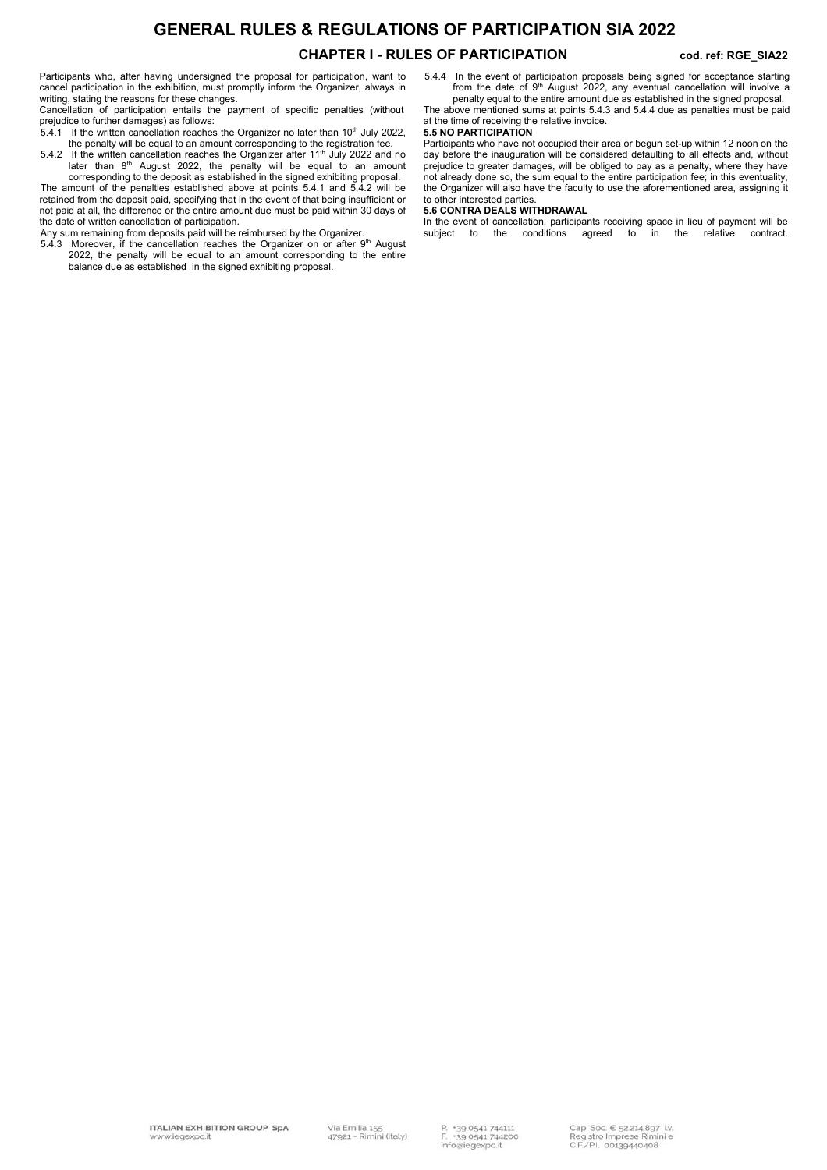# **GENERAL RULES & REGULATIONS OF PARTICIPATION SIA 2022**

## CHAPTER I - RULES OF PARTICIPATION cod. ref: RGE\_SIA22

Participants who, after having undersigned the proposal for participation, want to cancel participation in the exhibition, must promptly inform the Organizer, always in writing, stating the reasons for these changes.

Cancellation of participation entails the payment of specific penalties (without prejudice to further damages) as follows:<br>5.4.1 If the written cancellation reaches the Organizer no later than 10<sup>th</sup> July 2022,

- the penalty will be equal to an amount corresponding to the registration fee. 5.4.2 If the written cancellation reaches the Organizer after  $11<sup>th</sup>$  July 2022 and no
- later than 8<sup>th</sup> August 2022, the penalty will be equal to an amount corresponding to the deposit as established in the signed exhibiting proposal. The amount of the penalties established above at points 5.4.1 and 5.4.2 will be

retained from the deposit paid, specifying that in the event of that being insufficient or not paid at all, the difference or the entire amount due must be paid within 30 days of the date of written cancellation of participation.

- Any sum remaining from deposits paid will be reimbursed by the Organizer.
- 5.4.3 Moreover, if the cancellation reaches the Organizer on or after 9<sup>th</sup> August 2022, the penalty will be equal to an amount corresponding to the entire balance due as established in the signed exhibiting proposal.

5.4.4 In the event of participation proposals being signed for acceptance starting from the date of 9<sup>th</sup> August 2022, any eventual cancellation will involve a

penalty equal to the entire amount due as established in the signed proposal. The above mentioned sums at points 5.4.3 and 5.4.4 due as penalties must be paid at the time of receiving the relative invoice.

#### **5.5 NO PARTICIPATION**

Participants who have not occupied their area or begun set-up within 12 noon on the day before the inauguration will be considered defaulting to all effects and, without prejudice to greater damages, will be obliged to pay as a penalty, where they have not already done so, the sum equal to the entire participation fee; in this eventuality, the Organizer will also have the faculty to use the aforementioned area, assigning it to other interested parties.

#### **5.6 CONTRA DEALS WITHDRAWAL**

In the event of cancellation, participants receiving space in lieu of payment will be subject to the conditions agreed to in the relative contract.  $a$ greed to in the relative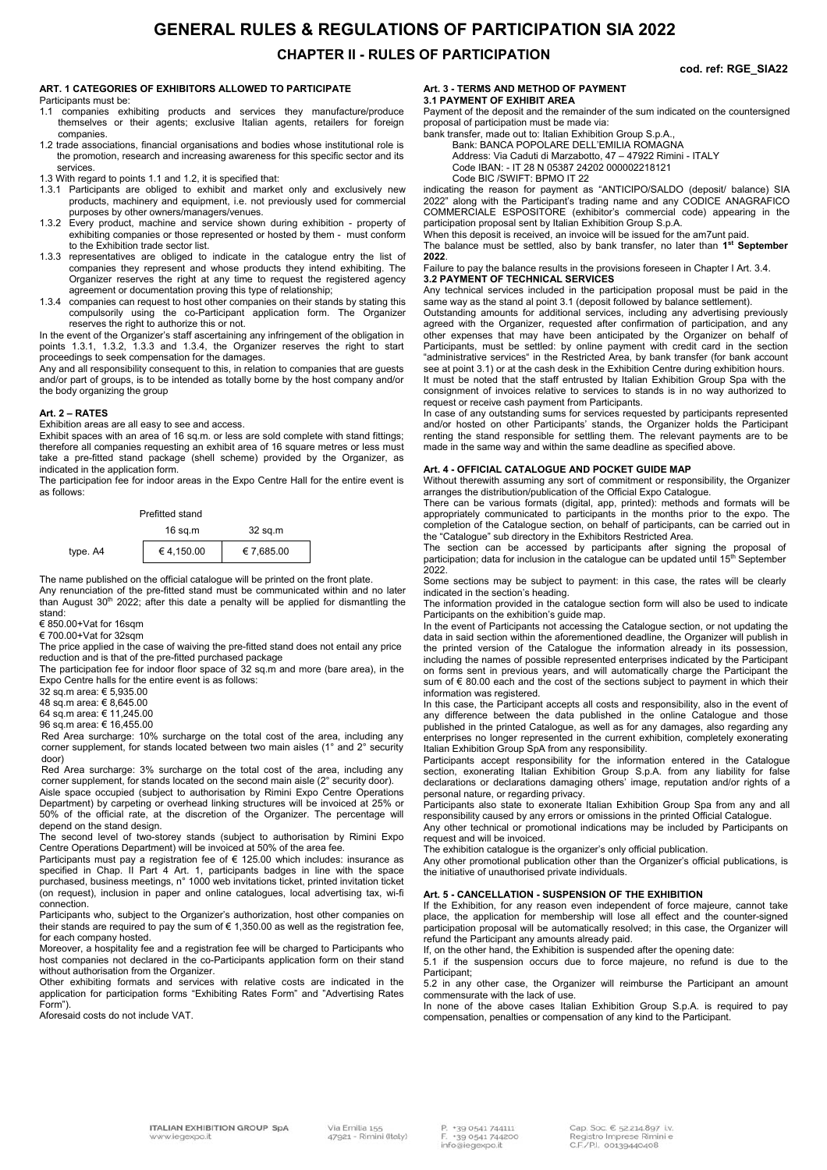## **GENERAL RULES & REGULATIONS OF PARTICIPATION SIA 2022**

**CHAPTER II - RULES OF PARTICIPATION** 

#### **ART. 1 CATEGORIES OF EXHIBITORS ALLOWED TO PARTICIPATE**

Participants must be:

- 1.1 companies exhibiting products and services they manufacture/produce themselves or their agents; exclusive Italian agents, retailers for foreign companies.
- 1.2 trade associations, financial organisations and bodies whose institutional role is the promotion, research and increasing awareness for this specific sector and its services.
- 1.3 With regard to points 1.1 and 1.2, it is specified that:
- 1.3.1 Participants are obliged to exhibit and market only and exclusively new products, machinery and equipment, i.e. not previously used for commercial purposes by other owners/managers/venues.
- 1.3.2 Every product, machine and service shown during exhibition property of exhibiting companies or those represented or hosted by them - must conform to the Exhibition trade sector list.
- 1.3.3 representatives are obliged to indicate in the catalogue entry the list of companies they represent and whose products they intend exhibiting. The Organizer reserves the right at any time to request the registered agency agreement or documentation proving this type of relationship;
- 1.3.4 companies can request to host other companies on their stands by stating this compulsorily using the co-Participant application form. The Organizer reserves the right to authorize this or not.

In the event of the Organizer's staff ascertaining any infringement of the obligation in points 1.3.1, 1.3.2, 1.3.3 and 1.3.4, the Organizer reserves the right to start proceedings to seek compensation for the damages.

Any and all responsibility consequent to this, in relation to companies that are guests and/or part of groups, is to be intended as totally borne by the host company and/or the body organizing the group

#### **Art. 2 – RATES**

Exhibition areas are all easy to see and access.

Exhibit spaces with an area of 16 sq.m. or less are sold complete with stand fittings; therefore all companies requesting an exhibit area of 16 square metres or less must take a pre-fitted stand package (shell scheme) provided by the Organizer, as indicated in the application form.

The participation fee for indoor areas in the Expo Centre Hall for the entire event is as follows:

| Prefitted stand |            |            |
|-----------------|------------|------------|
|                 | $16$ sq.m  | 32 sq.m    |
| type. A4        | € 4,150.00 | € 7,685.00 |

The name published on the official catalogue will be printed on the front plate. Any renunciation of the pre-fitted stand must be communicated within and no later than August 30th 2022; after this date a penalty will be applied for dismantling the stand:

€ 850.00+Vat for 16sqm

€ 700.00+Vat for 32sqm

The price applied in the case of waiving the pre-fitted stand does not entail any price reduction and is that of the pre-fitted purchased package

The participation fee for indoor floor space of 32 sq.m and more (bare area), in the Expo Centre halls for the entire event is as follows:

32 sq.m area: € 5,935.00

48 sq.m area: € 8,645.00 64 sq.m area: € 11,245.00

96 sq.m area: € 16,455.00

Red Area surcharge: 10% surcharge on the total cost of the area, including any corner supplement, for stands located between two main aisles (1° and 2° security door)

Red Area surcharge: 3% surcharge on the total cost of the area, including any corner supplement, for stands located on the second main aisle (2° security door).

Aisle space occupied (subject to authorisation by Rimini Expo Centre Operations Department) by carpeting or overhead linking structures will be invoiced at 25% or 50% of the official rate, at the discretion of the Organizer. The percentage will depend on the stand design.

The second level of two-storey stands (subject to authorisation by Rimini Expo Centre Operations Department) will be invoiced at 50% of the area fee.

Participants must pay a registration fee of  $\epsilon$  125.00 which includes: insurance as specified in Chap. II Part 4 Art. 1, participants badges in line with the space purchased, business meetings, n° 1000 web invitations ticket, printed invitation ticket (on request), inclusion in paper and online catalogues, local advertising tax, wi-fi connection.

Participants who, subject to the Organizer's authorization, host other companies on their stands are required to pay the sum of  $\epsilon$  1,350.00 as well as the registration fee, for each company hosted.

Moreover, a hospitality fee and a registration fee will be charged to Participants who host companies not declared in the co-Participants application form on their stand without authorisation from the Organizer.

Other exhibiting formats and services with relative costs are indicated in the application for participation forms "Exhibiting Rates Form" and "Advertising Rates Form").

Aforesaid costs do not include VAT.

### **Art. 3 - TERMS AND METHOD OF PAYMENT**

**3.1 PAYMENT OF EXHIBIT AREA**  Payment of the deposit and the remainder of the sum indicated on the countersigned proposal of participation must be made via:

bank transfer, made out to: Italian Exhibition Group S.p.A., Bank: BANCA POPOLARE DELL'EMILIA ROMAGNA

Address: Via Caduti di Marzabotto, 47 – 47922 Rimini - ITALY

Code IBAN: - IT 28 N 05387 24202 000002218121

Code BIC /SWIFT: BPMO IT 22

indicating the reason for payment as "ANTICIPO/SALDO (deposit/ balance) SIA 2022" along with the Participant's trading name and any CODICE ANAGRAFICO COMMERCIALE ESPOSITORE (exhibitor's commercial code) appearing in the participation proposal sent by Italian Exhibition Group S.p.A.

participation proposal some y nature. Exhibition steep sign in When this deposit is received, an invoice will be issued for the am7unt paid.

The balance must be settled, also by bank transfer, no later than 1<sup>st</sup> September **2022**.

FaiIure to pay the balance results in the provisions foreseen in Chapter I Art. 3.4. **3.2 PAYMENT OF TECHNICAL SERVICES** 

Any technical services included in the participation proposal must be paid in the same way as the stand al point 3.1 (deposit followed by balance settlement).

Outstanding amounts for additional services, including any advertising previously agreed with the Organizer, requested after confirmation of participation, and any other expenses that may have been anticipated by the Organizer on behalf of Participants, must be settled: by online payment with credit card in the section "administrative services" in the Restricted Area, by bank transfer (for bank account see at point 3.1) or at the cash desk in the Exhibition Centre during exhibition hours. It must be noted that the staff entrusted by Italian Exhibition Group Spa with the consignment of invoices relative to services to stands is in no way authorized to

request or receive cash payment from Participants. In case of any outstanding sums for services requested by participants represented and/or hosted on other Participants' stands, the Organizer holds the Participant renting the stand responsible for settling them. The relevant payments are to be made in the same way and within the same deadline as specified above.

#### **Art. 4 - OFFICIAL CATALOGUE AND POCKET GUIDE MAP**

Without therewith assuming any sort of commitment or responsibility, the Organizer arranges the distribution/publication of the Official Expo Catalogue.

There can be various formats (digital, app, printed): methods and formats will be appropriately communicated to participants in the months prior to the expo. The completion of the Catalogue section, on behalf of participants, can be carried out in the "Catalogue" sub directory in the Exhibitors Restricted Area.

The section can be accessed by participants after signing the proposal of<br>participation; data*f*or inclusion in the catalogue can be updated until 15<sup>th</sup> September 2022.

Some sections may be subject to payment: in this case, the rates will be clearly indicated in the section's heading.

The information provided in the catalogue section form will also be used to indicate Participants on the exhibition's guide map.

In the event of Participants not accessing the Catalogue section, or not updating the data in said section within the aforementioned deadline, the Organizer will publish in the printed version of the Catalogue the information already in its possession, including the names of possible represented enterprises indicated by the Participant on forms sent in previous years, and will automatically charge the Participant the sum of € 80.00 each and the cost of the sections subject to payment in which their information was registered.

In this case, the Participant accepts all costs and responsibility, also in the event of any difference between the data published in the online Catalogue and those published in the printed Catalogue, as well as for any damages, also regarding any enterprises no longer represented in the current exhibition, completely exonerating Italian Exhibition Group SpA from any responsibility.

Participants accept responsibility for the information entered in the Catalogue section, exonerating Italian Exhibition Group S.p.A. from any liability for false declarations or declarations damaging others' image, reputation and/or rights of a personal nature, or regarding privacy.

Participants also state to exonerate Italian Exhibition Group Spa from any and all responsibility caused by any errors or omissions in the printed Official Catalogue. Any other technical or promotional indications may be included by Participants on

request and will be invoiced. The exhibition catalogue is the organizer's only official publication.

Any other promotional publication other than the Organizer's official publications, is the initiative of unauthorised private individuals.

#### **Art. 5 - CANCELLATION - SUSPENSION OF THE EXHIBITION**

If the Exhibition, for any reason even independent of force majeure, cannot take place, the application for membership will lose all effect and the counter-signed participation proposal will be automatically resolved; in this case, the Organizer will refund the Participant any amounts already paid.

If, on the other hand, the Exhibition is suspended after the opening date:

5.1 if the suspension occurs due to force majeure, no refund is due to the Participant;

5.2 in any other case, the Organizer will reimburse the Participant an amount commensurate with the lack of use.

In none of the above cases Italian Exhibition Group S.p.A. is required to pay compensation, penalties or compensation of any kind to the Participant.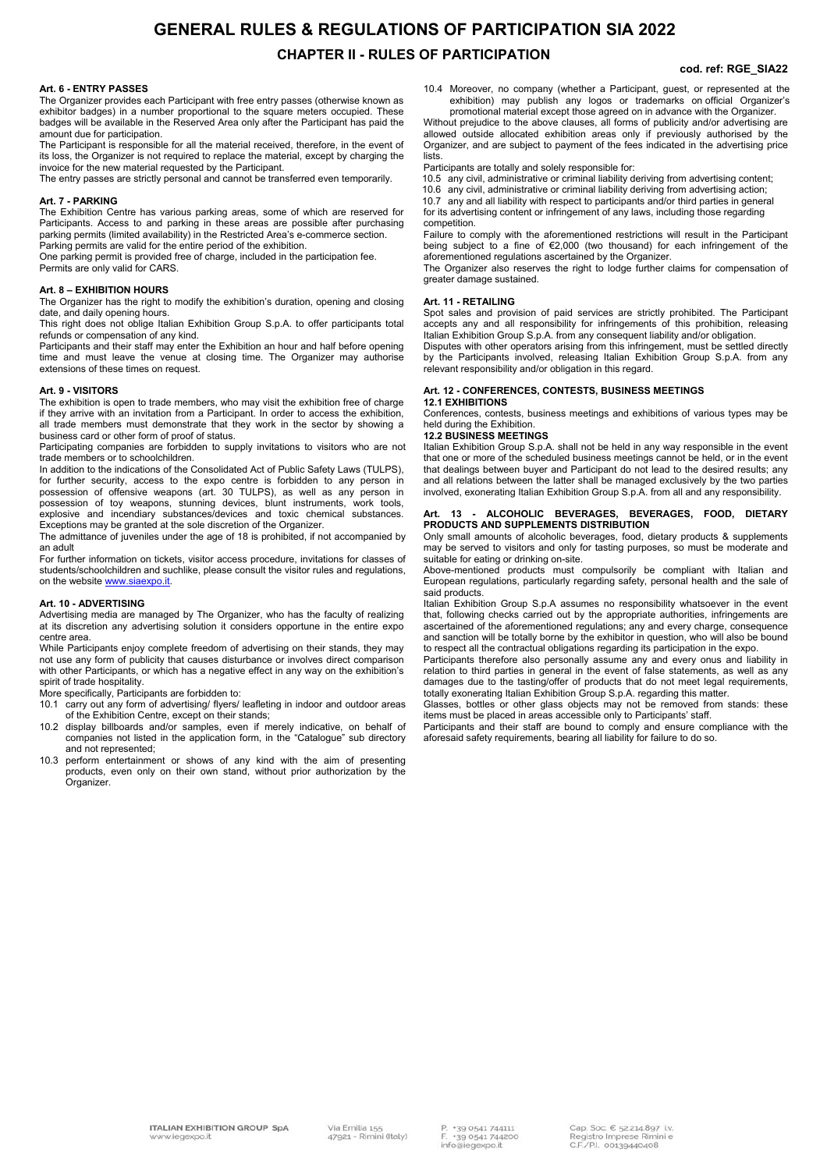## **GENERAL RULES & REGULATIONS OF PARTICIPATION SIA 2022 CHAPTER II - RULES OF PARTICIPATION**

#### **cod. ref: RGE\_SIA22**

### **Art. 6 - ENTRY PASSES**

The Organizer provides each Participant with free entry passes (otherwise known as exhibitor badges) in a number proportional to the square meters occupied. These badges will be available in the Reserved Area only after the Participant has paid the amount due for participation.

The Participant is responsible for all the material received, therefore, in the event of its loss, the Organizer is not required to replace the material, except by charging the invoice for the new material requested by the Participant.

The entry passes are strictly personal and cannot be transferred even temporarily.

#### **Art. 7 - PARKING**

The Exhibition Centre has various parking areas, some of which are reserved for Participants. Access to and parking in these areas are possible after purchasing parking permits (limited availability) in the Restricted Area's e-commerce section. Parking permits are valid for the entire period of the exhibition.

One parking permit is provided free of charge, included in the participation fee.

Permits are only valid for CARS.

#### **Art. 8 – EXHIBITION HOURS**

The Organizer has the right to modify the exhibition's duration, opening and closing date, and daily opening hours.

This right does not oblige Italian Exhibition Group S.p.A. to offer participants total refunds or compensation of any kind.

Participants and their staff may enter the Exhibition an hour and half before opening time and must leave the venue at closing time. The Organizer may authorise extensions of these times on request.

#### **Art. 9 - VISITORS**

The exhibition is open to trade members, who may visit the exhibition free of charge if they arrive with an invitation from a Participant. In order to access the exhibition, all trade members must demonstrate that they work in the sector by showing a business card or other form of proof of status.

Participating companies are forbidden to supply invitations to visitors who are not trade members or to schoolchildren.

In addition to the indications of the Consolidated Act of Public Safety Laws (TULPS). for further security, access to the expo centre is forbidden to any person in possession of offensive weapons (art. 30 TULPS), as well as any person in possession of toy weapons, stunning devices, blunt instruments, work tools, explosive and incendiary substances/devices and toxic chemical substances. Exceptions may be granted at the sole discretion of the Organizer.

The admittance of juveniles under the age of 18 is prohibited, if not accompanied by an adult

For further information on tickets, visitor access procedure, invitations for classes of students/schoolchildren and suchlike, please consult the visitor rules and regulations, on the website www.siaexpo.it

#### **Art. 10 - ADVERTISING**

Advertising media are managed by The Organizer, who has the faculty of realizing at its discretion any advertising solution it considers opportune in the entire expo centre area.

While Participants enjoy complete freedom of advertising on their stands, they may not use any form of publicity that causes disturbance or involves direct comparison with other Participants, or which has a negative effect in any way on the exhibition's spirit of trade hospitality.

More specifically, Participants are forbidden to:

- 10.1 carry out any form of advertising/ flyers/ leafleting in indoor and outdoor areas of the Exhibition Centre, except on their stands;
- 10.2 display billboards and/or samples, even if merely indicative, on behalf of companies not listed in the application form, in the "Catalogue" sub directory and not represented;
- 10.3 perform entertainment or shows of any kind with the aim of presenting products, even only on their own stand, without prior authorization by the Organizer.

10.4 Moreover, no company (whether a Participant, guest, or represented at the exhibition) may publish any logos or trademarks on official Organizer's promotional material except those agreed on in advance with the Organizer.

Without prejudice to the above clauses, all forms of publicity and/or advertising are allowed outside allocated exhibition areas only if previously authorised by the Organizer, and are subject to payment of the fees indicated in the advertising price lists.

Participants are totally and solely responsible for:

10.5 any civil, administrative or criminal liability deriving from advertising content;

10.6 any civil, administrative or criminal liability deriving from advertising action; 10.7 any and all liability with respect to participants and/or third parties in general for its advertising content or infringement of any laws, including those regarding competition.

Failure to comply with the aforementioned restrictions will result in the Participant being subject to a fine of €2,000 (two thousand) for each infringement of the aforementioned regulations ascertained by the Organizer.

The Organizer also reserves the right to lodge further claims for compensation of greater damage sustained.

#### **Art. 11 - RETAILING**

Spot sales and provision of paid services are strictly prohibited. The Participant accepts any and all responsibility for infringements of this prohibition, releasing Italian Exhibition Group S.p.A. from any consequent liability and/or obligation.

Disputes with other operators arising from this infringement, must be settled directly by the Participants involved, releasing Italian Exhibition Group S.p.A. from any relevant responsibility and/or obligation in this regard.

## **Art. 12 - CONFERENCES, CONTESTS, BUSINESS MEETINGS**

### **12.1 EXHIBITIONS**

Conferences, contests, business meetings and exhibitions of various types may be held during the Exhibition

#### **12.2 BUSINESS MEETINGS**

Italian Exhibition Group S.p.A. shall not be held in any way responsible in the event that one or more of the scheduled business meetings cannot be held, or in the event that dealings between buyer and Participant do not lead to the desired results; any and all relations between the latter shall be managed exclusively by the two parties involved, exonerating Italian Exhibition Group S.p.A. from all and any responsibility.

#### **Art. 13 - ALCOHOLIC BEVERAGES, BEVERAGES, FOOD, DIETARY PRODUCTS AND SUPPLEMENTS DISTRIBUTION**

Only small amounts of alcoholic beverages, food, dietary products & supplements may be served to visitors and only for tasting purposes, so must be moderate and suitable for eating or drinking on-site.

Above-mentioned products must compulsorily be compliant with Italian and European regulations, particularly regarding safety, personal health and the sale of said products.

Italian Exhibition Group S.p.A assumes no responsibility whatsoever in the event that, following checks carried out by the appropriate authorities, infringements are ascertained of the aforementioned regulations; any and every charge, consequence and sanction will be totally borne by the exhibitor in question, who will also be bound to respect all the contractual obligations regarding its participation in the expo.

Participants therefore also personally assume any and every onus and liability in relation to third parties in general in the event of false statements, as well as any damages due to the tasting/offer of products that do not meet legal requirements, totally exonerating Italian Exhibition Group S.p.A. regarding this matter.

Glasses, bottles or other glass objects may not be removed from stands: these items must be placed in areas accessible only to Participants' staff.

Participants and their staff are bound to comply and ensure compliance with the aforesaid safety requirements, bearing all liability for failure to do so.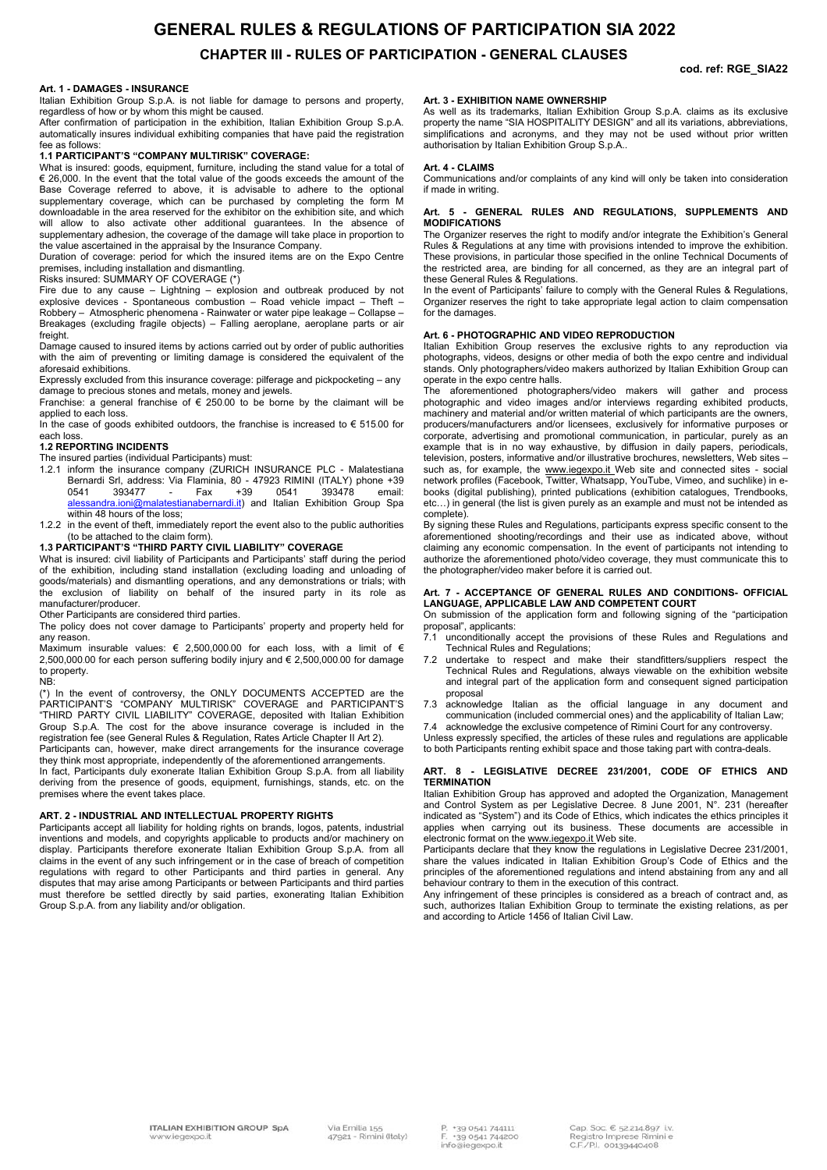## **GENERAL RULES & REGULATIONS OF PARTICIPATION SIA 2022 CHAPTER III - RULES OF PARTICIPATION - GENERAL CLAUSES**

**cod. ref: RGE\_SIA22**

#### **Art. 1 - DAMAGES - INSURANCE**

Italian Exhibition Group S.p.A. is not liable for damage to persons and property, regardless of how or by whom this might be caused.

After confirmation of participation in the exhibition, Italian Exhibition Group S.p.A. automatically insures individual exhibiting companies that have paid the registration fee as follows:

#### **1.1 PARTICIPANT'S "COMPANY MULTIRISK" COVERAGE:**

What is insured: goods, equipment, furniture, including the stand value for a total of € 26,000. In the event that the total value of the goods exceeds the amount of the Base Coverage referred to above, it is advisable to adhere to the optional supplementary coverage, which can be purchased by completing the form M downloadable in the area reserved for the exhibitor on the exhibition site, and which will allow to also activate other additional guarantees. In the absence of supplementary adhesion, the coverage of the damage will take place in proportion to the value ascertained in the appraisal by the Insurance Company.

Duration of coverage: period for which the insured items are on the Expo Centre premises, including installation and dismantling.

Risks insured: SUMMARY OF COVERAGE (\*)

Fire due to any cause – Lightning – explosion and outbreak produced by not explosive devices - Spontaneous combustion – Road vehicle impact – Theft – Robbery – Atmospheric phenomena - Rainwater or water pipe leakage – Collapse – Breakages (excluding fragile objects) – Falling aeroplane, aeroplane parts or air freight.

Damage caused to insured items by actions carried out by order of public authorities with the aim of preventing or limiting damage is considered the equivalent of the aforesaid exhibitions.

Expressly excluded from this insurance coverage: pilferage and pickpocketing – any damage to precious stones and metals, money and jewels.

Franchise: a general franchise of  $\epsilon$  250.00 to be borne by the claimant will be applied to each loss.

In the case of goods exhibited outdoors, the franchise is increased to  $\epsilon$  515.00 for each loss.

#### **1.2 REPORTING INCIDENTS**

The insured parties (individual Participants) must:

- 1.2.1 inform the insurance company (ZURICH INSURANCE PLC Malatestiana Bernardi Srl, address: Via Flaminia, 80 - 47923 RIMINI (ITALY) phone +39 0541 393477 - Fax +39 0541 393478 email: alessandra.ioni@malatestianabernardi.it) and Italian Exhibition Group Spa within 48 hours of the loss;
- 1.2.2 in the event of theft, immediately report the event also to the public authorities (to be attached to the claim form).

#### **1.3 PARTICIPANT'S "THIRD PARTY CIVIL LIABILITY" COVERAGE**

What is insured: civil liability of Participants and Participants' staff during the period of the exhibition, including stand installation (excluding loading and unloading of goods/materials) and dismantling operations, and any demonstrations or trials; with the exclusion of liability on behalf of the insured party in its role as manufacturer/producer.

Other Participants are considered third parties.

The policy does not cover damage to Participants' property and property held for any reason.

Maximum insurable values:  $\epsilon$  2,500,000.00 for each loss, with a limit of  $\epsilon$ 2,500,000.00 for each person suffering bodily injury and € 2,500,000.00 for damage to property. NB:

(\*) In the event of controversy, the ONLY DOCUMENTS ACCEPTED are the PARTICIPANT'S "COMPANY MULTIRISK" COVERAGE and PARTICIPANT'S "THIRD PARTY CIVIL LIABILITY" COVERAGE, deposited with Italian Exhibition Group S.p.A. The cost for the above insurance coverage is included in the registration fee (see General Rules & Regulation, Rates Article Chapter II Art 2).

Participants can, however, make direct arrangements for the insurance coverage they think most appropriate, independently of the aforementioned arrangements.

In fact, Participants duly exonerate Italian Exhibition Group S.p.A. from all liability deriving from the presence of goods, equipment, furnishings, stands, etc. on the premises where the event takes place.

#### **ART. 2 - INDUSTRIAL AND INTELLECTUAL PROPERTY RIGHTS**

Participants accept all liability for holding rights on brands, logos, patents, industrial inventions and models, and copyrights applicable to products and/or machinery on display. Participants therefore exonerate Italian Exhibition Group S.p.A. from all claims in the event of any such infringement or in the case of breach of competition regulations with regard to other Participants and third parties in general. Any disputes that may arise among Participants or between Participants and third parties must therefore be settled directly by said parties, exonerating Italian Exhibition Group S.p.A. from any liability and/or obligation.

#### **Art. 3 - EXHIBITION NAME OWNERSHIP**

As well as its trademarks, Italian Exhibition Group S.p.A. claims as its exclusive property the name "SIA HOSPITALITY DESIGN" and all its variations, abbreviations, simplifications and acronyms, and they may not be used without prior written authorisation by Italian Exhibition Group S.p.A..

#### **Art. 4 - CLAIMS**

Communications and/or complaints of any kind will only be taken into consideration if made in writing.

#### **Art. 5 - GENERAL RULES AND REGULATIONS, SUPPLEMENTS AND MODIFICATIONS**

The Organizer reserves the right to modify and/or integrate the Exhibition's General Rules & Regulations at any time with provisions intended to improve the exhibition. These provisions, in particular those specified in the online Technical Documents of the restricted area, are binding for all concerned, as they are an integral part of these General Rules & Regulations.

In the event of Participants' failure to comply with the General Rules & Regulations, Organizer reserves the right to take appropriate legal action to claim compensation for the damages.

#### **Art. 6 - PHOTOGRAPHIC AND VIDEO REPRODUCTION**

Italian Exhibition Group reserves the exclusive rights to any reproduction via photographs, videos, designs or other media of both the expo centre and individual stands. Only photographers/video makers authorized by Italian Exhibition Group can operate in the expo centre halls.

The aforementioned photographers/video makers will gather and process photographic and video images and/or interviews regarding exhibited products, machinery and material and/or written material of which participants are the owners, producers/manufacturers and/or licensees, exclusively for informative purposes or corporate, advertising and promotional communication, in particular, purely as an example that is in no way exhaustive, by diffusion in daily papers, periodicals, television, posters, informative and/or illustrative brochures, newsletters, Web sites – such as, for example, the www.iegexpo.it Web site and connected sites - social network profiles (Facebook, Twitter, Whatsapp, YouTube, Vimeo, and suchlike) in ebooks (digital publishing), printed publications (exhibition catalogues, Trendbooks, etc…) in general (the list is given purely as an example and must not be intended as complete).

By signing these Rules and Regulations, participants express specific consent to the aforementioned shooting/recordings and their use as indicated above, without claiming any economic compensation. In the event of participants not intending to authorize the aforementioned photo/video coverage, they must communicate this to the photographer/video maker before it is carried out.

#### **Art. 7 - ACCEPTANCE OF GENERAL RULES AND CONDITIONS- OFFICIAL LANGUAGE, APPLICABLE LAW AND COMPETENT COURT**

On submission of the application form and following signing of the "participation proposal", applicants:

- 7.1 unconditionally accept the provisions of these Rules and Regulations and Technical Rules and Regulations;
- 7.2 undertake to respect and make their standfitters/suppliers respect the Technical Rules and Regulations, always viewable on the exhibition website and integral part of the application form and consequent signed participation proposal
- 7.3 acknowledge Italian as the official language in any document and communication (included commercial ones) and the applicability of Italian Law;

7.4 acknowledge the exclusive competence of Rimini Court for any controversy. Unless expressly specified, the articles of these rules and regulations are applicable to both Participants renting exhibit space and those taking part with contra-deals.

#### **ART. 8 - LEGISLATIVE DECREE 231/2001, CODE OF ETHICS AND TERMINATION**

Italian Exhibition Group has approved and adopted the Organization, Management and Control System as per Legislative Decree. 8 June 2001, N°. 231 (hereafter indicated as "System") and its Code of Ethics, which indicates the ethics principles it applies when carrying out its business. These documents are accessible in electronic format on the www.iegexpo.it Web site.

Participants declare that they know the regulations in Legislative Decree 231/2001, share the values indicated in Italian Exhibition Group's Code of Ethics and the principles of the aforementioned regulations and intend abstaining from any and all behaviour contrary to them in the execution of this contract.

Any infringement of these principles is considered as a breach of contract and, as such, authorizes Italian Exhibition Group to terminate the existing relations, as per and according to Article 1456 of Italian Civil Law.